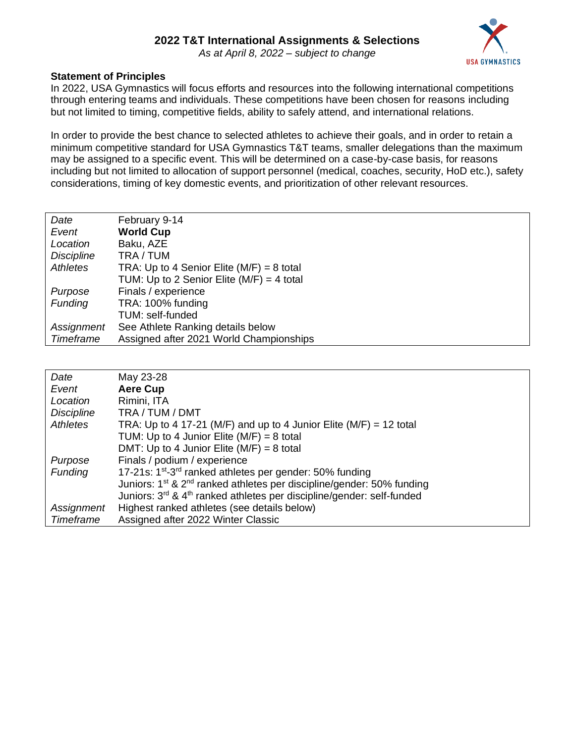

#### **Statement of Principles**

In 2022, USA Gymnastics will focus efforts and resources into the following international competitions through entering teams and individuals. These competitions have been chosen for reasons including but not limited to timing, competitive fields, ability to safely attend, and international relations.

In order to provide the best chance to selected athletes to achieve their goals, and in order to retain a minimum competitive standard for USA Gymnastics T&T teams, smaller delegations than the maximum may be assigned to a specific event. This will be determined on a case-by-case basis, for reasons including but not limited to allocation of support personnel (medical, coaches, security, HoD etc.), safety considerations, timing of key domestic events, and prioritization of other relevant resources.

| Date              | February 9-14                               |
|-------------------|---------------------------------------------|
| Event             | <b>World Cup</b>                            |
| Location          | Baku, AZE                                   |
| <b>Discipline</b> | TRA / TUM                                   |
| Athletes          | TRA: Up to 4 Senior Elite $(M/F) = 8$ total |
|                   | TUM: Up to 2 Senior Elite $(M/F) = 4$ total |
| Purpose           | Finals / experience                         |
| <b>Funding</b>    | TRA: 100% funding                           |
|                   | TUM: self-funded                            |
| Assignment        | See Athlete Ranking details below           |
| Timeframe         | Assigned after 2021 World Championships     |

| Date              | May 23-28                                                                                     |
|-------------------|-----------------------------------------------------------------------------------------------|
| Event             | <b>Aere Cup</b>                                                                               |
| Location          | Rimini, ITA                                                                                   |
| <b>Discipline</b> | TRA / TUM / DMT                                                                               |
| Athletes          | TRA: Up to 4 17-21 (M/F) and up to 4 Junior Elite (M/F) = 12 total                            |
|                   | TUM: Up to 4 Junior Elite $(M/F) = 8$ total                                                   |
|                   | DMT: Up to 4 Junior Elite ( $M/F$ ) = 8 total                                                 |
| Purpose           | Finals / podium / experience                                                                  |
| <b>Funding</b>    | 17-21s: 1 <sup>st</sup> -3 <sup>rd</sup> ranked athletes per gender: 50% funding              |
|                   | Juniors: 1 <sup>st</sup> & 2 <sup>nd</sup> ranked athletes per discipline/gender: 50% funding |
|                   | Juniors: 3 <sup>rd</sup> & 4 <sup>th</sup> ranked athletes per discipline/gender: self-funded |
| Assignment        | Highest ranked athletes (see details below)                                                   |
| Timeframe         | Assigned after 2022 Winter Classic                                                            |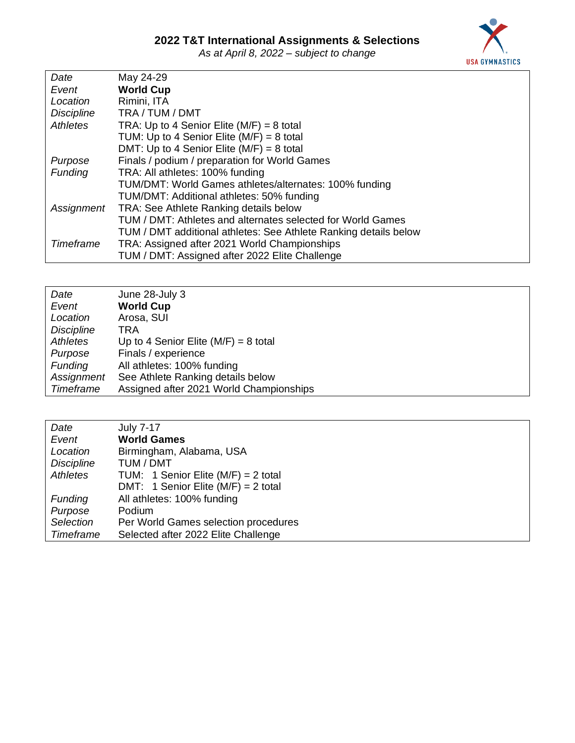*As at April 8, 2022 – subject to change*



| Date              | May 24-29                                                        |
|-------------------|------------------------------------------------------------------|
| Event             | <b>World Cup</b>                                                 |
| Location          | Rimini, ITA                                                      |
| <b>Discipline</b> | TRA / TUM / DMT                                                  |
| Athletes          | TRA: Up to 4 Senior Elite $(M/F) = 8$ total                      |
|                   | TUM: Up to 4 Senior Elite $(M/F) = 8$ total                      |
|                   | DMT: Up to 4 Senior Elite ( $M/F$ ) = 8 total                    |
| Purpose           | Finals / podium / preparation for World Games                    |
| <b>Funding</b>    | TRA: All athletes: 100% funding                                  |
|                   | TUM/DMT: World Games athletes/alternates: 100% funding           |
|                   | TUM/DMT: Additional athletes: 50% funding                        |
| Assignment        | TRA: See Athlete Ranking details below                           |
|                   | TUM / DMT: Athletes and alternates selected for World Games      |
|                   | TUM / DMT additional athletes: See Athlete Ranking details below |
| Timeframe         | TRA: Assigned after 2021 World Championships                     |
|                   | TUM / DMT: Assigned after 2022 Elite Challenge                   |

| Date              | June 28-July 3                          |
|-------------------|-----------------------------------------|
| Event             | <b>World Cup</b>                        |
| Location          | Arosa, SUI                              |
| <b>Discipline</b> | TRA                                     |
| Athletes          | Up to 4 Senior Elite $(M/F) = 8$ total  |
| Purpose           | Finals / experience                     |
| <b>Funding</b>    | All athletes: 100% funding              |
| Assignment        | See Athlete Ranking details below       |
| Timeframe         | Assigned after 2021 World Championships |

| Date              | <b>July 7-17</b>                        |
|-------------------|-----------------------------------------|
| Event             | <b>World Games</b>                      |
| Location          | Birmingham, Alabama, USA                |
| <b>Discipline</b> | TUM / DMT                               |
| Athletes          | TUM: 1 Senior Elite ( $M/F$ ) = 2 total |
|                   | DMT: 1 Senior Elite ( $M/F$ ) = 2 total |
| <b>Funding</b>    | All athletes: 100% funding              |
| Purpose           | Podium                                  |
| Selection         | Per World Games selection procedures    |
| Timeframe         | Selected after 2022 Elite Challenge     |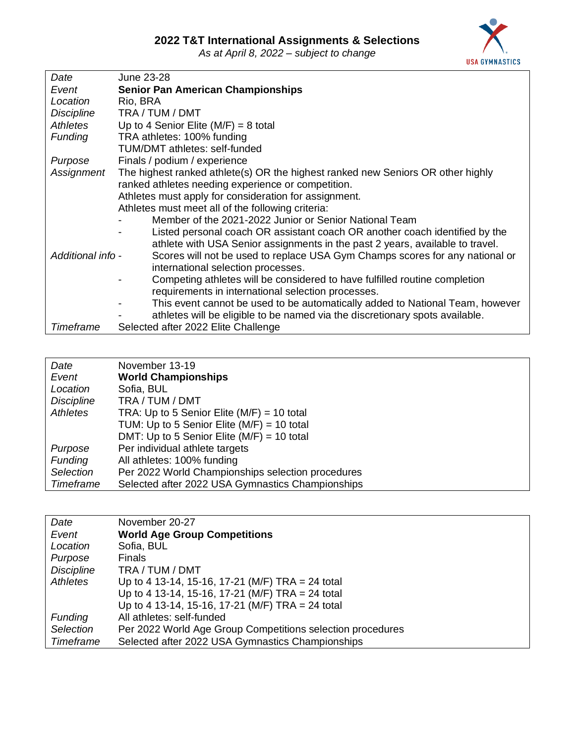*As at April 8, 2022 – subject to change*



| Date              | June 23-28                                                                      |
|-------------------|---------------------------------------------------------------------------------|
| Event             | <b>Senior Pan American Championships</b>                                        |
| Location          | Rio, BRA                                                                        |
| <b>Discipline</b> | TRA / TUM / DMT                                                                 |
| Athletes          | Up to 4 Senior Elite ( $M/F$ ) = 8 total                                        |
| <b>Funding</b>    | TRA athletes: 100% funding                                                      |
|                   | <b>TUM/DMT</b> athletes: self-funded                                            |
| Purpose           | Finals / podium / experience                                                    |
| Assignment        | The highest ranked athlete(s) OR the highest ranked new Seniors OR other highly |
|                   | ranked athletes needing experience or competition.                              |
|                   | Athletes must apply for consideration for assignment.                           |
|                   | Athletes must meet all of the following criteria:                               |
|                   | Member of the 2021-2022 Junior or Senior National Team                          |
|                   | Listed personal coach OR assistant coach OR another coach identified by the     |
|                   | athlete with USA Senior assignments in the past 2 years, available to travel.   |
| Additional info - | Scores will not be used to replace USA Gym Champs scores for any national or    |
|                   | international selection processes.                                              |
|                   | Competing athletes will be considered to have fulfilled routine completion      |
|                   | requirements in international selection processes.                              |
|                   | This event cannot be used to be automatically added to National Team, however   |
|                   | athletes will be eligible to be named via the discretionary spots available.    |
| Timeframe         | Selected after 2022 Elite Challenge                                             |

| Date              | November 13-19                                    |
|-------------------|---------------------------------------------------|
| Event             | <b>World Championships</b>                        |
| Location          | Sofia, BUL                                        |
| <b>Discipline</b> | TRA / TUM / DMT                                   |
| Athletes          | TRA: Up to 5 Senior Elite ( $M/F$ ) = 10 total    |
|                   | TUM: Up to 5 Senior Elite ( $M/F$ ) = 10 total    |
|                   | DMT: Up to 5 Senior Elite ( $M/F$ ) = 10 total    |
| Purpose           | Per individual athlete targets                    |
| <b>Funding</b>    | All athletes: 100% funding                        |
| Selection         | Per 2022 World Championships selection procedures |
| Timeframe         | Selected after 2022 USA Gymnastics Championships  |

| Date              | November 20-27                                             |
|-------------------|------------------------------------------------------------|
| Event             | <b>World Age Group Competitions</b>                        |
| Location          | Sofia, BUL                                                 |
| Purpose           | <b>Finals</b>                                              |
| <b>Discipline</b> | TRA / TUM / DMT                                            |
| Athletes          | Up to 4 13-14, 15-16, 17-21 (M/F) TRA = 24 total           |
|                   | Up to 4 13-14, 15-16, 17-21 (M/F) TRA = 24 total           |
|                   | Up to 4 13-14, 15-16, 17-21 (M/F) TRA = 24 total           |
| <b>Funding</b>    | All athletes: self-funded                                  |
| Selection         | Per 2022 World Age Group Competitions selection procedures |
| Timeframe         | Selected after 2022 USA Gymnastics Championships           |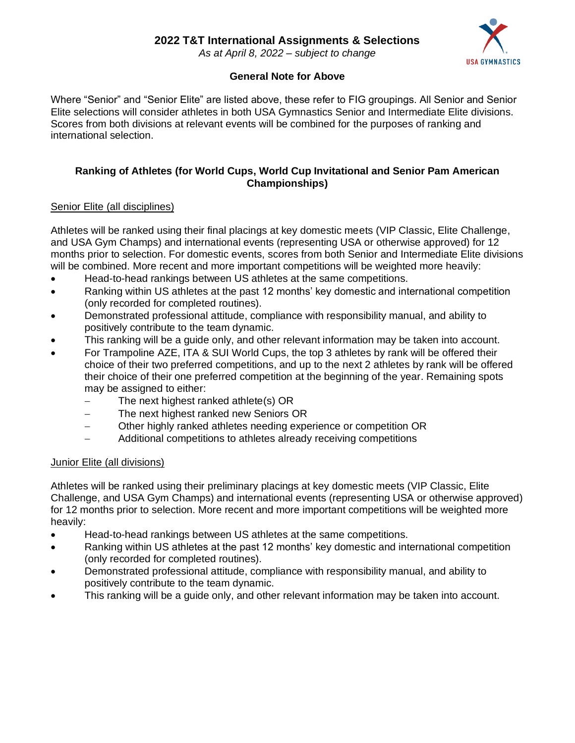*As at April 8, 2022 – subject to change*



#### **General Note for Above**

Where "Senior" and "Senior Elite" are listed above, these refer to FIG groupings. All Senior and Senior Elite selections will consider athletes in both USA Gymnastics Senior and Intermediate Elite divisions. Scores from both divisions at relevant events will be combined for the purposes of ranking and international selection.

#### **Ranking of Athletes (for World Cups, World Cup Invitational and Senior Pam American Championships)**

#### Senior Elite (all disciplines)

Athletes will be ranked using their final placings at key domestic meets (VIP Classic, Elite Challenge, and USA Gym Champs) and international events (representing USA or otherwise approved) for 12 months prior to selection. For domestic events, scores from both Senior and Intermediate Elite divisions will be combined. More recent and more important competitions will be weighted more heavily:

- Head-to-head rankings between US athletes at the same competitions.
- Ranking within US athletes at the past 12 months' key domestic and international competition (only recorded for completed routines).
- Demonstrated professional attitude, compliance with responsibility manual, and ability to positively contribute to the team dynamic.
- This ranking will be a guide only, and other relevant information may be taken into account.
- For Trampoline AZE, ITA & SUI World Cups, the top 3 athletes by rank will be offered their choice of their two preferred competitions, and up to the next 2 athletes by rank will be offered their choice of their one preferred competition at the beginning of the year. Remaining spots may be assigned to either:
	- The next highest ranked athlete(s) OR
	- − The next highest ranked new Seniors OR
	- − Other highly ranked athletes needing experience or competition OR
	- − Additional competitions to athletes already receiving competitions

#### Junior Elite (all divisions)

Athletes will be ranked using their preliminary placings at key domestic meets (VIP Classic, Elite Challenge, and USA Gym Champs) and international events (representing USA or otherwise approved) for 12 months prior to selection. More recent and more important competitions will be weighted more heavily:

- Head-to-head rankings between US athletes at the same competitions.
- Ranking within US athletes at the past 12 months' key domestic and international competition (only recorded for completed routines).
- Demonstrated professional attitude, compliance with responsibility manual, and ability to positively contribute to the team dynamic.
- This ranking will be a guide only, and other relevant information may be taken into account.